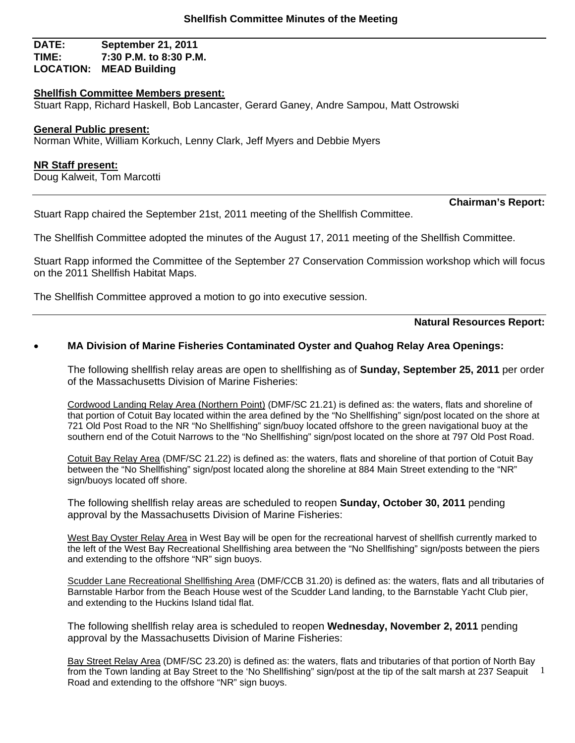## **DATE: September 21, 2011 TIME: 7:30 P.M. to 8:30 P.M. LOCATION: MEAD Building**

#### **Shellfish Committee Members present:**

Stuart Rapp, Richard Haskell, Bob Lancaster, Gerard Ganey, Andre Sampou, Matt Ostrowski

#### **General Public present:**

Norman White, William Korkuch, Lenny Clark, Jeff Myers and Debbie Myers

#### **NR Staff present:**

Doug Kalweit, Tom Marcotti

Stuart Rapp chaired the September 21st, 2011 meeting of the Shellfish Committee.

The Shellfish Committee adopted the minutes of the August 17, 2011 meeting of the Shellfish Committee.

Stuart Rapp informed the Committee of the September 27 Conservation Commission workshop which will focus on the 2011 Shellfish Habitat Maps.

The Shellfish Committee approved a motion to go into executive session.

**Natural Resources Report:** 

**Chairman's Report:** 

### **MA Division of Marine Fisheries Contaminated Oyster and Quahog Relay Area Openings:**

The following shellfish relay areas are open to shellfishing as of **Sunday, September 25, 2011** per order of the Massachusetts Division of Marine Fisheries:

Cordwood Landing Relay Area (Northern Point) (DMF/SC 21.21) is defined as: the waters, flats and shoreline of that portion of Cotuit Bay located within the area defined by the "No Shellfishing" sign/post located on the shore at 721 Old Post Road to the NR "No Shellfishing" sign/buoy located offshore to the green navigational buoy at the southern end of the Cotuit Narrows to the "No Shellfishing" sign/post located on the shore at 797 Old Post Road.

Cotuit Bay Relay Area (DMF/SC 21.22) is defined as: the waters, flats and shoreline of that portion of Cotuit Bay between the "No Shellfishing" sign/post located along the shoreline at 884 Main Street extending to the "NR" sign/buoys located off shore.

The following shellfish relay areas are scheduled to reopen **Sunday, October 30, 2011** pending approval by the Massachusetts Division of Marine Fisheries:

West Bay Oyster Relay Area in West Bay will be open for the recreational harvest of shellfish currently marked to the left of the West Bay Recreational Shellfishing area between the "No Shellfishing" sign/posts between the piers and extending to the offshore "NR" sign buoys.

Scudder Lane Recreational Shellfishing Area (DMF/CCB 31.20) is defined as: the waters, flats and all tributaries of Barnstable Harbor from the Beach House west of the Scudder Land landing, to the Barnstable Yacht Club pier, and extending to the Huckins Island tidal flat.

The following shellfish relay area is scheduled to reopen **Wednesday, November 2, 2011** pending approval by the Massachusetts Division of Marine Fisheries:

1 Bay Street Relay Area (DMF/SC 23.20) is defined as: the waters, flats and tributaries of that portion of North Bay from the Town landing at Bay Street to the 'No Shellfishing" sign/post at the tip of the salt marsh at 237 Seapuit Road and extending to the offshore "NR" sign buoys.